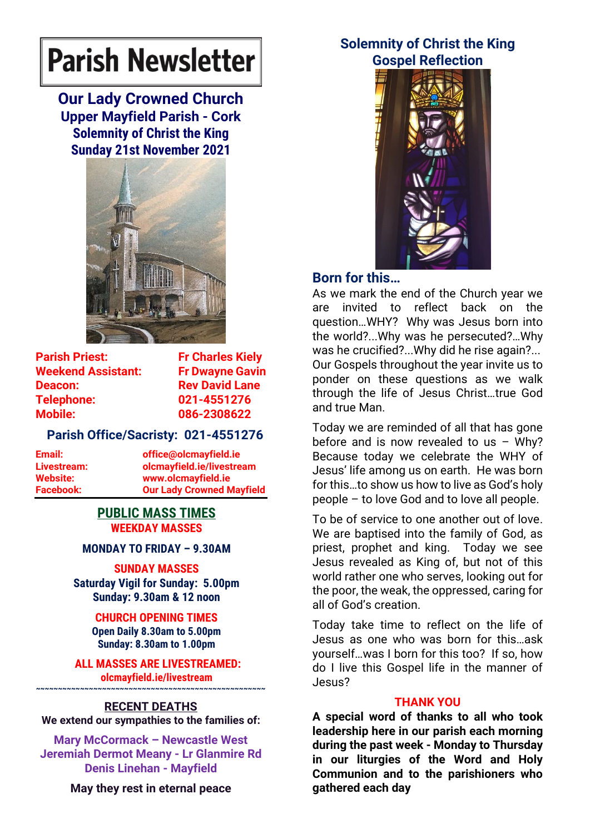# **Parish Newsletter**

**Our Lady Crowned Church Upper Mayfield Parish - Cork Solemnity of Christ the King Sunday 21st November 2021**



**Parish Priest:** Fr Charles Kielv **Weekend Assistant: Fr Dwayne Gavin Deacon:** Rev David Lane **Telephone: 021-4551276 Mobile: 086-2308622** 

## **Parish Office/Sacristy: 021-4551276**

**Email: office@olcmayfield.ie Livestream: olcmayfield.ie/livestream Website: www.olcmayfield.ie Facebook: Our Lady Crowned Mayfield**

#### **PUBLIC MASS TIMES WEEKDAY MASSES**

## **MONDAY TO FRIDAY – 9.30AM**

**SUNDAY MASSES**

**Saturday Vigil for Sunday: 5.00pm Sunday: 9.30am & 12 noon**

> **CHURCH OPENING TIMES Open Daily 8.30am to 5.00pm Sunday: 8.30am to 1.00pm**

**ALL MASSES ARE LIVESTREAMED: olcmayfield.ie/livestream**

## **~~~~~~~~~~~~~~~~~~~~~~~~~~~~~~~~~~~~~~~~~~~~~~~~~~~~ RECENT DEATHS**

**We extend our sympathies to the families of:**

**Mary McCormack – Newcastle West Jeremiah Dermot Meany - Lr Glanmire Rd Denis Linehan - Mayfield**

**May they rest in eternal peace**

# **Solemnity of Christ the King Gospel Reflection**



# **Born for this…**

As we mark the end of the Church year we are invited to reflect back on the question…WHY? Why was Jesus born into the world?...Why was he persecuted?…Why was he crucified?...Why did he rise again?... Our Gospels throughout the year invite us to ponder on these questions as we walk through the life of Jesus Christ…true God and true Man.

Today we are reminded of all that has gone before and is now revealed to us  $-$  Why? Because today we celebrate the WHY of Jesus' life among us on earth. He was born for this…to show us how to live as God's holy people – to love God and to love all people.

To be of service to one another out of love. We are baptised into the family of God, as priest, prophet and king. Today we see Jesus revealed as King of, but not of this world rather one who serves, looking out for the poor, the weak, the oppressed, caring for all of God's creation.

Today take time to reflect on the life of Jesus as one who was born for this…ask yourself…was I born for this too? If so, how do I live this Gospel life in the manner of Jesus?

### **THANK YOU**

**A special word of thanks to all who took leadership here in our parish each morning during the past week - Monday to Thursday in our liturgies of the Word and Holy Communion and to the parishioners who gathered each day**